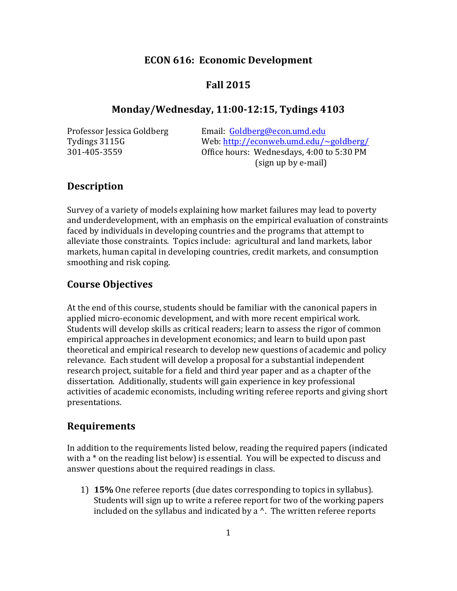# **ECON 616: Economic Development**

# **Fall 2015**

## **Monday/Wednesday, 11:00-12:15, Tydings 4103**

Professor Jessica Goldberg Email: Goldberg@econ.umd.edu Tydings 3115G Web: http://econweb.umd.edu/~goldberg/ 301-405-3559 Office hours: Wednesdays, 4:00 to 5:30 PM (sign up by e-mail)

# **Description**

Survey of a variety of models explaining how market failures may lead to poverty and underdevelopment, with an emphasis on the empirical evaluation of constraints faced by individuals in developing countries and the programs that attempt to alleviate those constraints. Topics include: agricultural and land markets, labor markets, human capital in developing countries, credit markets, and consumption smoothing and risk coping.

# **Course Objectives**

At the end of this course, students should be familiar with the canonical papers in applied micro-economic development, and with more recent empirical work. Students will develop skills as critical readers; learn to assess the rigor of common empirical approaches in development economics; and learn to build upon past theoretical and empirical research to develop new questions of academic and policy relevance. Each student will develop a proposal for a substantial independent research project, suitable for a field and third year paper and as a chapter of the dissertation. Additionally, students will gain experience in key professional activities of academic economists, including writing referee reports and giving short presentations.

# **Requirements**

In addition to the requirements listed below, reading the required papers (indicated with a  $*$  on the reading list below) is essential. You will be expected to discuss and answer questions about the required readings in class.

1) **15%** One referee reports (due dates corresponding to topics in syllabus). Students will sign up to write a referee report for two of the working papers included on the syllabus and indicated by a  $\wedge$ . The written referee reports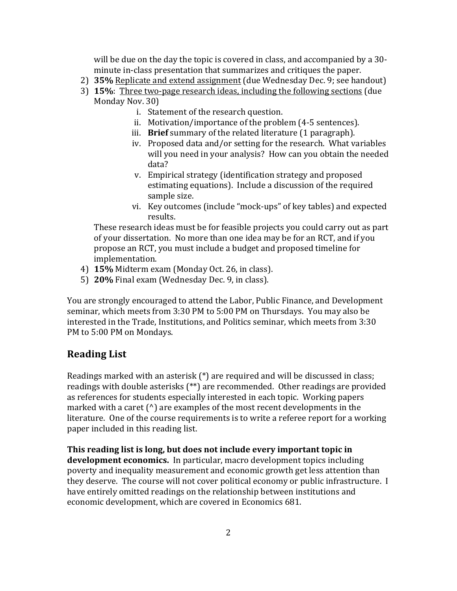will be due on the day the topic is covered in class, and accompanied by a 30minute in-class presentation that summarizes and critiques the paper.

- 2) **35%** Replicate and extend assignment (due Wednesday Dec. 9; see handout)
- 3) **15%**: Three two-page research ideas, including the following sections (due Monday Nov. 30)
	- i. Statement of the research question.
	- ii. Motivation/importance of the problem (4-5 sentences).
	- iii. **Brief** summary of the related literature (1 paragraph).
	- iv. Proposed data and/or setting for the research. What variables will you need in your analysis? How can you obtain the needed data?
	- v. Empirical strategy (identification strategy and proposed estimating equations). Include a discussion of the required sample size.
	- vi. Key outcomes (include "mock-ups" of key tables) and expected results.

These research ideas must be for feasible projects you could carry out as part of your dissertation. No more than one idea may be for an RCT, and if you propose an RCT, you must include a budget and proposed timeline for implementation.

- 4) **15%** Midterm exam (Monday Oct. 26, in class).
- 5) **20%** Final exam (Wednesday Dec. 9, in class).

You are strongly encouraged to attend the Labor, Public Finance, and Development seminar, which meets from 3:30 PM to 5:00 PM on Thursdays. You may also be interested in the Trade, Institutions, and Politics seminar, which meets from 3:30 PM to 5:00 PM on Mondays.

# **Reading List**

Readings marked with an asterisk  $(*)$  are required and will be discussed in class; readings with double asterisks  $(**)$  are recommended. Other readings are provided as references for students especially interested in each topic. Working papers marked with a caret  $(^{\wedge})$  are examples of the most recent developments in the literature. One of the course requirements is to write a referee report for a working paper included in this reading list.

**This reading list is long, but does not include every important topic in development economics.** In particular, macro development topics including poverty and inequality measurement and economic growth get less attention than they deserve. The course will not cover political economy or public infrastructure. I have entirely omitted readings on the relationship between institutions and economic development, which are covered in Economics 681.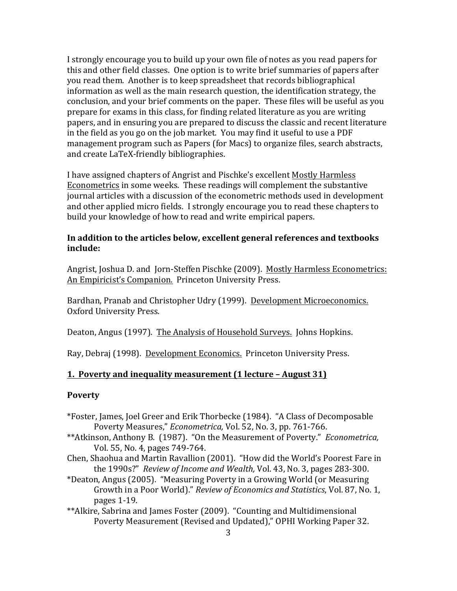I strongly encourage you to build up your own file of notes as you read papers for this and other field classes. One option is to write brief summaries of papers after you read them. Another is to keep spreadsheet that records bibliographical information as well as the main research question, the identification strategy, the conclusion, and your brief comments on the paper. These files will be useful as you prepare for exams in this class, for finding related literature as you are writing papers, and in ensuring you are prepared to discuss the classic and recent literature in the field as you go on the job market. You may find it useful to use a PDF management program such as Papers (for Macs) to organize files, search abstracts, and create LaTeX-friendly bibliographies.

I have assigned chapters of Angrist and Pischke's excellent Mostly Harmless Econometrics in some weeks. These readings will complement the substantive journal articles with a discussion of the econometric methods used in development and other applied micro fields. I strongly encourage you to read these chapters to build your knowledge of how to read and write empirical papers.

## In addition to the articles below, excellent general references and textbooks **include:**

Angrist, Joshua D. and Jorn-Steffen Pischke (2009). Mostly Harmless Econometrics: An Empiricist's Companion. Princeton University Press.

Bardhan, Pranab and Christopher Udry (1999). Development Microeconomics. Oxford University Press.

Deaton, Angus (1997). The Analysis of Household Surveys. Johns Hopkins.

Ray, Debraj (1998). Development Economics. Princeton University Press.

#### **1. Poverty and inequality measurement (1 lecture – August 31)**

#### **Poverty**

- \*Foster, James, Joel Greer and Erik Thorbecke (1984). "A Class of Decomposable Poverty Measures," *Econometrica*, Vol. 52, No. 3, pp. 761-766.
- \*\*Atkinson, Anthony B. (1987). "On the Measurement of Poverty." *Econometrica*, Vol. 55, No. 4, pages 749-764.
- Chen, Shaohua and Martin Ravallion (2001). "How did the World's Poorest Fare in the 1990s?" Review of Income and Wealth, Vol. 43, No. 3, pages 283-300.
- \*Deaton, Angus (2005). "Measuring Poverty in a Growing World (or Measuring Growth in a Poor World)." *Review of Economics and Statistics*, Vol. 87, No. 1, pages 1-19.
- \*\*Alkire, Sabrina and James Foster (2009). "Counting and Multidimensional Poverty Measurement (Revised and Updated)," OPHI Working Paper 32.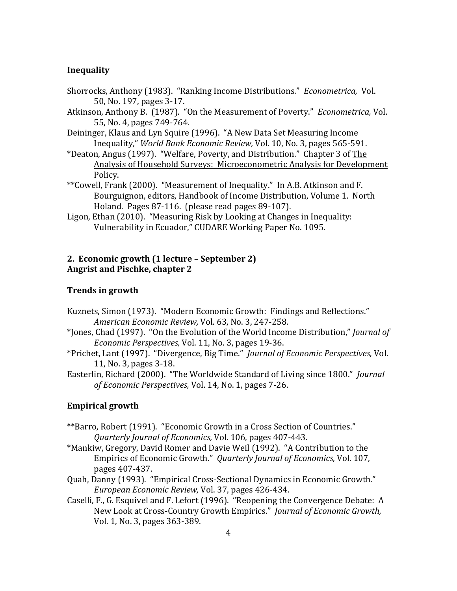# **Inequality**

- Shorrocks, Anthony (1983). "Ranking Income Distributions." *Econometrica*, Vol. 50, No. 197, pages 3-17.
- Atkinson, Anthony B. (1987). "On the Measurement of Poverty." *Econometrica*, Vol. 55, No. 4, pages 749-764.
- Deininger, Klaus and Lyn Squire (1996). "A New Data Set Measuring Income Inequality," World Bank Economic Review, Vol. 10, No. 3, pages 565-591.
- \*Deaton, Angus (1997). "Welfare, Poverty, and Distribution." Chapter 3 of The Analysis of Household Surveys: Microeconometric Analysis for Development Policy.
- \*\*Cowell, Frank (2000). "Measurement of Inequality." In A.B. Atkinson and F. Bourguignon, editors, Handbook of Income Distribution, Volume 1. North Holand. Pages 87-116. (please read pages 89-107).
- Ligon, Ethan (2010). "Measuring Risk by Looking at Changes in Inequality: Vulnerability in Ecuador," CUDARE Working Paper No. 1095.

## **2. Economic growth (1 lecture – September 2) Angrist and Pischke, chapter 2**

#### **Trends in growth**

- Kuznets, Simon (1973). "Modern Economic Growth: Findings and Reflections." *American Economic Review,* Vol. 63, No. 3, 247-258.
- \*Jones, Chad (1997). "On the Evolution of the World Income Distribution," *Journal of Economic Perspectives,* Vol. 11, No. 3, pages 19-36.
- \*Prichet, Lant (1997). "Divergence, Big Time." *Journal of Economic Perspectives,* Vol. 11, No. 3, pages 3-18.
- Easterlin, Richard (2000). "The Worldwide Standard of Living since 1800." *Journal* of Economic Perspectives, Vol. 14, No. 1, pages 7-26.

### **Empirical growth**

- \*\*Barro, Robert (1991). "Economic Growth in a Cross Section of Countries." *Quarterly Journal of Economics,* Vol. 106, pages 407-443.
- \*Mankiw, Gregory, David Romer and Davie Weil (1992). "A Contribution to the Empirics of Economic Growth." *Quarterly Journal of Economics*, Vol. 107, pages 407-437.
- Quah, Danny (1993). "Empirical Cross-Sectional Dynamics in Economic Growth." *European Economic Review,* Vol. 37, pages 426-434.
- Caselli, F., G. Esquivel and F. Lefort (1996). "Reopening the Convergence Debate: A New Look at Cross-Country Growth Empirics." *Journal of Economic Growth*, Vol. 1, No. 3, pages 363-389.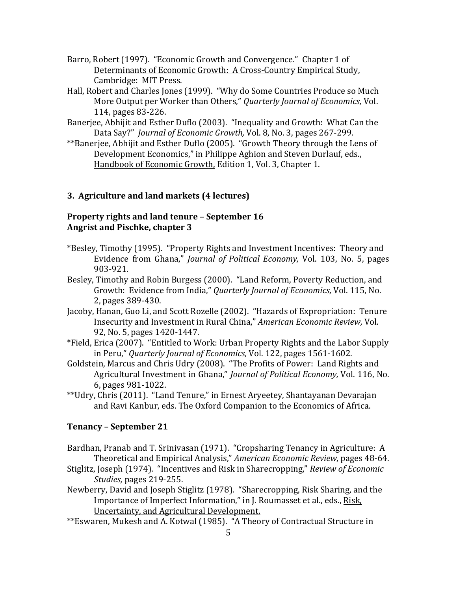- Barro, Robert (1997). "Economic Growth and Convergence." Chapter 1 of Determinants of Economic Growth: A Cross-Country Empirical Study, Cambridge: MIT Press.
- Hall, Robert and Charles Jones (1999). "Why do Some Countries Produce so Much More Output per Worker than Others," *Quarterly Journal of Economics*, Vol. 114, pages 83-226.
- Banerjee, Abhijit and Esther Duflo (2003). "Inequality and Growth: What Can the Data Say?" *Journal of Economic Growth*, Vol. 8, No. 3, pages 267-299.
- \*\*Banerjee, Abhijit and Esther Duflo (2005). "Growth Theory through the Lens of Development Economics," in Philippe Aghion and Steven Durlauf. eds., Handbook of Economic Growth, Edition 1, Vol. 3, Chapter 1.

## **3. Agriculture and land markets (4 lectures)**

# **Property rights and land tenure – September 16** Angrist and Pischke, chapter 3

- \*Besley, Timothy (1995). "Property Rights and Investment Incentives: Theory and Evidence from Ghana," *Journal of Political Economy*, Vol. 103, No. 5, pages 903-921.
- Besley, Timothy and Robin Burgess (2000). "Land Reform, Poverty Reduction, and Growth: Evidence from India," Quarterly Journal of Economics, Vol. 115, No. 2, pages 389-430.
- Jacoby, Hanan, Guo Li, and Scott Rozelle (2002). "Hazards of Expropriation: Tenure Insecurity and Investment in Rural China," American Economic Review, Vol. 92, No. 5, pages 1420-1447.
- \*Field, Erica (2007). "Entitled to Work: Urban Property Rights and the Labor Supply in Peru," *Quarterly Journal of Economics*, Vol. 122, pages 1561-1602.
- Goldstein, Marcus and Chris Udry (2008). "The Profits of Power: Land Rights and Agricultural Investment in Ghana," *Journal of Political Economy*, Vol. 116, No. 6, pages 981-1022.
- \*\*Udry, Chris (2011). "Land Tenure," in Ernest Aryeetey, Shantayanan Devarajan and Ravi Kanbur, eds. The Oxford Companion to the Economics of Africa.

# **Tenancy – September 21**

- Bardhan, Pranab and T. Srinivasan (1971). "Cropsharing Tenancy in Agriculture: A Theoretical and Empirical Analysis," *American Economic Review*, pages 48-64.
- Stiglitz, Joseph (1974). "Incentives and Risk in Sharecropping," *Review of Economic Studies,* pages 219-255.
- Newberry, David and Joseph Stiglitz (1978). "Sharecropping, Risk Sharing, and the Importance of Imperfect Information," in J. Roumasset et al., eds., Risk, Uncertainty, and Agricultural Development.
- \*\*Eswaren, Mukesh and A. Kotwal (1985). "A Theory of Contractual Structure in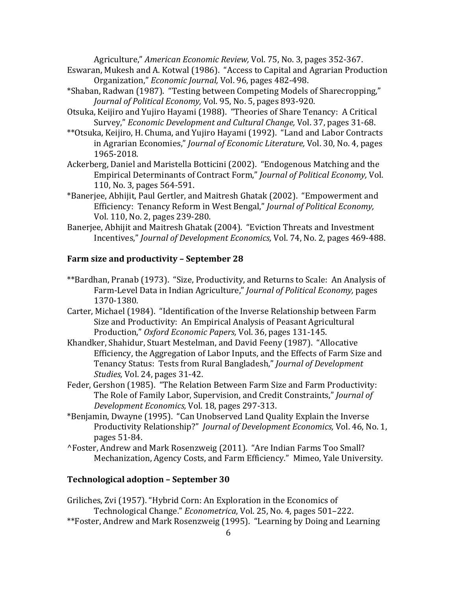Agriculture," American Economic Review, Vol. 75, No. 3, pages 352-367.

- Eswaran, Mukesh and A. Kotwal (1986). "Access to Capital and Agrarian Production Organization," *Economic Journal*, Vol. 96, pages 482-498.
- \*Shaban, Radwan (1987). "Testing between Competing Models of Sharecropping," *Journal of Political Economy, Vol.* 95, No. 5, pages 893-920.
- Otsuka, Keijiro and Yujiro Hayami (1988). "Theories of Share Tenancy: A Critical Survey," *Economic Development and Cultural Change*, Vol. 37, pages 31-68.
- \*\*Otsuka, Keijiro, H. Chuma, and Yujiro Hayami (1992). "Land and Labor Contracts in Agrarian Economies," *Journal of Economic Literature*, Vol. 30, No. 4, pages 1965-2018.
- Ackerberg, Daniel and Maristella Botticini (2002). "Endogenous Matching and the Empirical Determinants of Contract Form," *Journal of Political Economy*, Vol. 110, No. 3, pages 564-591.
- \*Banerjee, Abhijit, Paul Gertler, and Maitresh Ghatak (2002). "Empowerment and Efficiency: Tenancy Reform in West Bengal," *Journal of Political Economy*, Vol. 110, No. 2, pages 239-280.
- Banerjee, Abhijit and Maitresh Ghatak (2004). "Eviction Threats and Investment Incentives," *Journal of Development Economics*, Vol. 74, No. 2, pages 469-488.

## **Farm size and productivity – September 28**

- \*\*Bardhan, Pranab (1973). "Size, Productivity, and Returns to Scale: An Analysis of Farm-Level Data in Indian Agriculture," *Journal of Political Economy*, pages 1370-1380.
- Carter, Michael (1984). "Identification of the Inverse Relationship between Farm Size and Productivity: An Empirical Analysis of Peasant Agricultural Production," Oxford Economic Papers, Vol. 36, pages 131-145.
- Khandker, Shahidur, Stuart Mestelman, and David Feeny (1987). "Allocative Efficiency, the Aggregation of Labor Inputs, and the Effects of Farm Size and Tenancy Status: Tests from Rural Bangladesh," *Journal of Development Studies, Vol. 24, pages 31-42.*
- Feder, Gershon (1985). "The Relation Between Farm Size and Farm Productivity: The Role of Family Labor, Supervision, and Credit Constraints," *Journal of Development Economics,* Vol. 18, pages 297-313.
- \*Benjamin, Dwayne (1995). "Can Unobserved Land Quality Explain the Inverse Productivity Relationship?" *Journal of Development Economics, Vol. 46, No. 1,* pages 51-84.
- ^Foster, Andrew and Mark Rosenzweig (2011). "Are Indian Farms Too Small? Mechanization, Agency Costs, and Farm Efficiency." Mimeo, Yale University.

#### **Technological adoption – September 30**

Griliches, Zvi (1957). "Hybrid Corn: An Exploration in the Economics of Technological Change." *Econometrica*, Vol. 25, No. 4, pages 501–222. \*\*Foster, Andrew and Mark Rosenzweig (1995). "Learning by Doing and Learning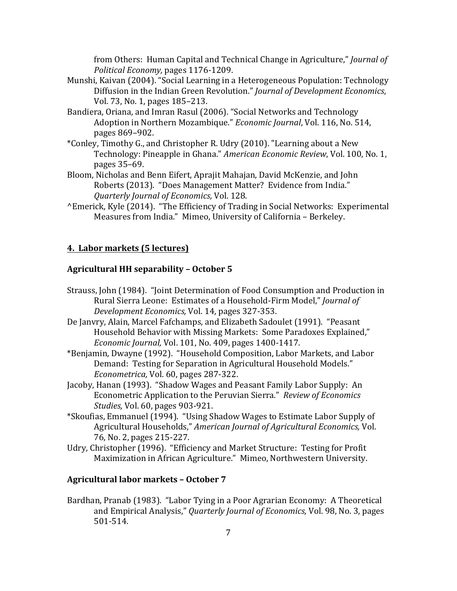from Others: Human Capital and Technical Change in Agriculture," *Journal of Political Economy,* pages 1176-1209.

- Munshi, Kaivan (2004). "Social Learning in a Heterogeneous Population: Technology Diffusion in the Indian Green Revolution." *Journal of Development Economics*, Vol. 73, No. 1, pages 185-213.
- Bandiera, Oriana, and Imran Rasul (2006). "Social Networks and Technology Adoption in Northern Mozambique." *Economic Journal*, Vol. 116, No. 514, pages 869–902.
- \*Conley, Timothy G., and Christopher R. Udry (2010). "Learning about a New Technology: Pineapple in Ghana." *American Economic Review*, Vol. 100, No. 1, pages 35–69.
- Bloom, Nicholas and Benn Eifert, Aprajit Mahajan, David McKenzie, and John Roberts (2013). "Does Management Matter? Evidence from India." *Quarterly Journal of Economics,* Vol. 128.
- <sup>^</sup>Emerick, Kyle (2014). "The Efficiency of Trading in Social Networks: Experimental Measures from India." Mimeo, University of California - Berkeley.

# **4. Labor markets (5 lectures)**

#### **Agricultural HH separability – October 5**

- Strauss, John (1984). "Joint Determination of Food Consumption and Production in Rural Sierra Leone: Estimates of a Household-Firm Model," Journal of *Development Economics,* Vol. 14, pages 327-353.
- De Janvry, Alain, Marcel Fafchamps, and Elizabeth Sadoulet (1991). "Peasant Household Behavior with Missing Markets: Some Paradoxes Explained," *Economic Journal, Vol.* 101, No. 409, pages 1400-1417.
- \*Benjamin, Dwayne (1992). "Household Composition, Labor Markets, and Labor Demand: Testing for Separation in Agricultural Household Models." *Econometrica,* Vol. 60, pages 287-322.
- Jacoby, Hanan (1993). "Shadow Wages and Peasant Family Labor Supply: An Econometric Application to the Peruvian Sierra." Review of Economics *Studies, Vol.* 60, pages 903-921.
- \*Skoufias, Emmanuel (1994). "Using Shadow Wages to Estimate Labor Supply of Agricultural Households," American Journal of Agricultural Economics, Vol. 76, No. 2, pages 215-227.
- Udry, Christopher (1996). "Efficiency and Market Structure: Testing for Profit Maximization in African Agriculture." Mimeo, Northwestern University.

#### **Agricultural labor markets – October 7**

Bardhan, Pranab (1983). "Labor Tying in a Poor Agrarian Economy: A Theoretical and Empirical Analysis," *Quarterly Journal of Economics*, Vol. 98, No. 3, pages 501-514.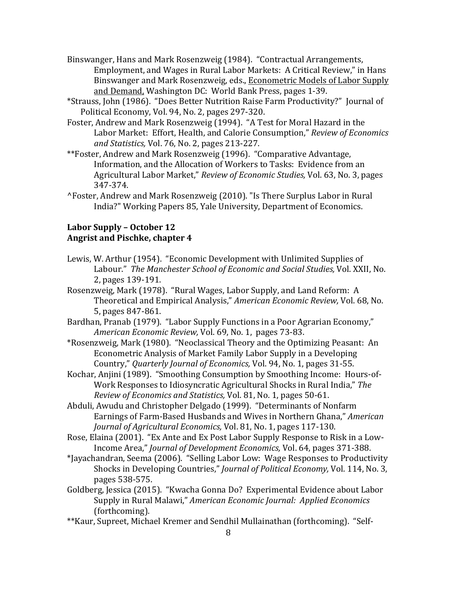- Binswanger, Hans and Mark Rosenzweig (1984). "Contractual Arrangements, Employment, and Wages in Rural Labor Markets: A Critical Review," in Hans Binswanger and Mark Rosenzweig, eds., Econometric Models of Labor Supply and Demand, Washington DC: World Bank Press, pages 1-39.
- \*Strauss, John (1986). "Does Better Nutrition Raise Farm Productivity?" Journal of Political Economy, Vol. 94, No. 2, pages 297-320.
- Foster, Andrew and Mark Rosenzweig (1994). "A Test for Moral Hazard in the Labor Market: Effort, Health, and Calorie Consumption," Review of Economics *and Statistics,* Vol. 76, No. 2, pages 213-227.
- \*\*Foster. Andrew and Mark Rosenzweig (1996). "Comparative Advantage, Information, and the Allocation of Workers to Tasks: Evidence from an Agricultural Labor Market," *Review of Economic Studies*, Vol. 63, No. 3, pages 347-374.
- ^Foster, Andrew and Mark Rosenzweig (2010). "Is There Surplus Labor in Rural India?" Working Papers 85, Yale University, Department of Economics.

## Labor Supply – October 12 **Angrist and Pischke, chapter 4**

- Lewis, W. Arthur (1954). "Economic Development with Unlimited Supplies of Labour." The Manchester School of Economic and Social Studies, Vol. XXII, No. 2. pages 139-191.
- Rosenzweig, Mark (1978). "Rural Wages, Labor Supply, and Land Reform: A Theoretical and Empirical Analysis," American Economic Review, Vol. 68, No. 5, pages 847-861.
- Bardhan, Pranab (1979). "Labor Supply Functions in a Poor Agrarian Economy," *American Economic Review,* Vol. 69, No. 1, pages 73-83.
- \*Rosenzweig, Mark (1980). "Neoclassical Theory and the Optimizing Peasant: An Econometric Analysis of Market Family Labor Supply in a Developing Country," *Quarterly Journal of Economics,* Vol. 94, No. 1, pages 31-55.
- Kochar, Anjini (1989). "Smoothing Consumption by Smoothing Income: Hours-of-Work Responses to Idiosyncratic Agricultural Shocks in Rural India," The *Review of Economics and Statistics, Vol. 81, No. 1, pages 50-61.*
- Abduli, Awudu and Christopher Delgado (1999). "Determinants of Nonfarm Earnings of Farm-Based Husbands and Wives in Northern Ghana," *American Journal of Agricultural Economics, Vol. 81, No. 1, pages 117-130.*
- Rose, Elaina (2001). "Ex Ante and Ex Post Labor Supply Response to Risk in a Low-Income Area," *Journal of Development Economics*, Vol. 64, pages 371-388.
- \*Jayachandran, Seema (2006). "Selling Labor Low: Wage Responses to Productivity Shocks in Developing Countries," *Journal of Political Economy*, Vol. 114, No. 3, pages 538-575.
- Goldberg, Jessica (2015). "Kwacha Gonna Do? Experimental Evidence about Labor Supply in Rural Malawi," American Economic Journal: Applied Economics (forthcoming).
- \*\*Kaur, Supreet, Michael Kremer and Sendhil Mullainathan (forthcoming). "Self-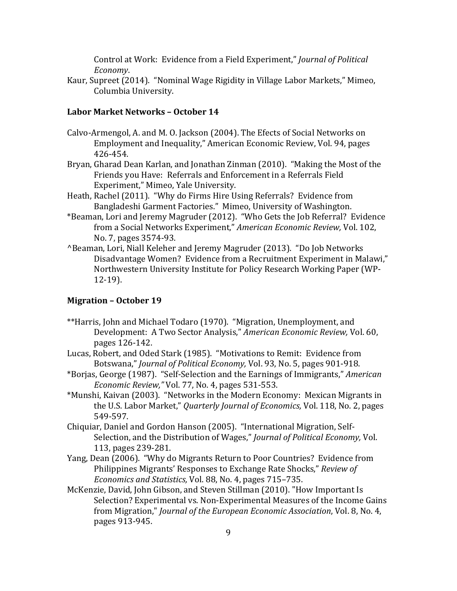Control at Work: Evidence from a Field Experiment," *Journal of Political Economy*.

Kaur, Supreet (2014). "Nominal Wage Rigidity in Village Labor Markets," Mimeo, Columbia University.

### **Labor Market Networks – October 14**

- Calvo-Armengol, A. and M. O. Jackson (2004). The Efects of Social Networks on Employment and Inequality," American Economic Review, Vol. 94, pages 426-454.
- Bryan, Gharad Dean Karlan, and Jonathan Zinman (2010). "Making the Most of the Friends you Have: Referrals and Enforcement in a Referrals Field Experiment," Mimeo, Yale University.
- Heath, Rachel (2011). "Why do Firms Hire Using Referrals? Evidence from Bangladeshi Garment Factories." Mimeo, University of Washington.
- \*Beaman, Lori and Jeremy Magruder (2012). "Who Gets the Job Referral? Evidence from a Social Networks Experiment," American Economic Review, Vol. 102, No. 7, pages 3574-93.
- **^Beaman, Lori, Niall Keleher and Jeremy Magruder (2013). "Do Job Networks** Disadvantage Women? Evidence from a Recruitment Experiment in Malawi," Northwestern University Institute for Policy Research Working Paper (WP-12-19).

#### **Migration – October 19**

- \*\*Harris, John and Michael Todaro (1970). "Migration, Unemployment, and Development: A Two Sector Analysis," American Economic Review, Vol. 60, pages 126-142.
- Lucas, Robert, and Oded Stark (1985). "Motivations to Remit: Evidence from Botswana," *Journal of Political Economy*, Vol. 93, No. 5, pages 901-918.
- \*Borjas, George (1987). "Self-Selection and the Earnings of Immigrants," *American Economic Review,"* Vol. 77, No. 4, pages 531-553.
- \*Munshi, Kaivan (2003). "Networks in the Modern Economy: Mexican Migrants in the U.S. Labor Market," Quarterly Journal of Economics, Vol. 118, No. 2, pages 549-597.
- Chiquiar, Daniel and Gordon Hanson (2005). "International Migration, Self-Selection, and the Distribution of Wages," Journal of Political Economy, Vol. 113, pages 239-281.
- Yang, Dean (2006). "Why do Migrants Return to Poor Countries? Evidence from Philippines Migrants' Responses to Exchange Rate Shocks," *Review of Economics and Statistics, Vol. 88, No. 4, pages 715–735.*
- McKenzie, David, John Gibson, and Steven Stillman (2010). "How Important Is Selection? Experimental vs. Non-Experimental Measures of the Income Gains from Migration," *Journal of the European Economic Association*, Vol. 8, No. 4, pages 913-945.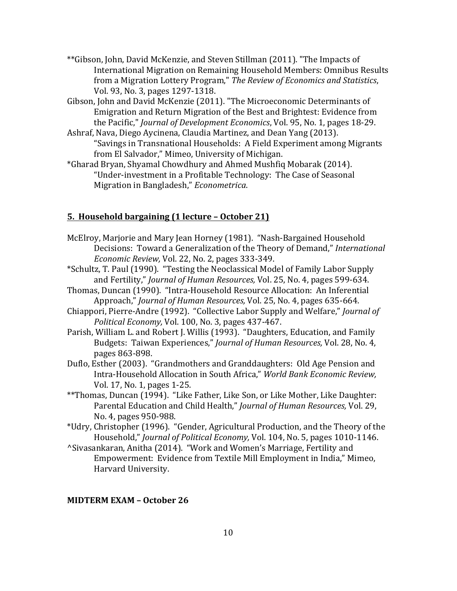- \*\*Gibson, John, David McKenzie, and Steven Stillman (2011). "The Impacts of International Migration on Remaining Household Members: Omnibus Results from a Migration Lottery Program," *The Review of Economics and Statistics*, Vol. 93, No. 3, pages 1297-1318.
- Gibson, John and David McKenzie (2011). "The Microeconomic Determinants of Emigration and Return Migration of the Best and Brightest: Evidence from the Pacific," *Journal of Development Economics*, Vol. 95, No. 1, pages 18-29.
- Ashraf, Nava, Diego Aycinena, Claudia Martinez, and Dean Yang (2013). "Savings in Transnational Households: A Field Experiment among Migrants from El Salvador," Mimeo, University of Michigan.
- \*Gharad Bryan, Shyamal Chowdhury and Ahmed Mushfiq Mobarak (2014). "Under-investment in a Profitable Technology: The Case of Seasonal Migration in Bangladesh," *Econometrica*.

### **5. Household bargaining (1 lecture – October 21)**

- McElroy, Marjorie and Mary Jean Horney (1981). "Nash-Bargained Household Decisions: Toward a Generalization of the Theory of Demand," *International Economic Review, Vol. 22, No. 2, pages 333-349.*
- \*Schultz, T. Paul (1990). "Testing the Neoclassical Model of Family Labor Supply and Fertility," *Journal of Human Resources*, Vol. 25, No. 4, pages 599-634.
- Thomas, Duncan (1990). "Intra-Household Resource Allocation: An Inferential Approach," *Journal of Human Resources*, Vol. 25, No. 4, pages 635-664.
- Chiappori, Pierre-Andre (1992). "Collective Labor Supply and Welfare," *Journal of* Political *Economy*, Vol. 100, No. 3, pages 437-467.
- Parish, William L. and Robert J. Willis (1993). "Daughters, Education, and Family Budgets: Taiwan Experiences," *Journal of Human Resources, Vol.* 28, No. 4, pages 863-898.
- Duflo, Esther (2003). "Grandmothers and Granddaughters: Old Age Pension and Intra-Household Allocation in South Africa," World Bank Economic Review, Vol. 17, No. 1, pages 1-25.
- \*\*Thomas, Duncan (1994). "Like Father, Like Son, or Like Mother, Like Daughter: Parental Education and Child Health," *Journal of Human Resources*, Vol. 29, No. 4, pages 950-988.
- \*Udry, Christopher (1996). "Gender, Agricultural Production, and the Theory of the Household," *Journal of Political Economy*, Vol. 104, No. 5, pages 1010-1146.
- ^Sivasankaran, Anitha (2014). "Work and Women's Marriage, Fertility and Empowerment: Evidence from Textile Mill Employment in India," Mimeo, Harvard University.

#### **MIDTERM EXAM – October 26**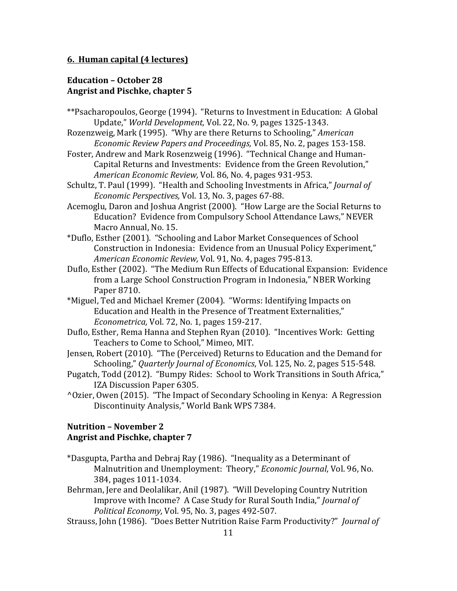#### **6. Human capital (4 lectures)**

## **Education – October 28** Angrist and Pischke, chapter 5

- \*\*Psacharopoulos, George (1994). "Returns to Investment in Education: A Global Update," World Development, Vol. 22, No. 9, pages 1325-1343.
- Rozenzweig, Mark (1995). "Why are there Returns to Schooling," *American Economic Review Papers and Proceedings,* Vol. 85, No. 2, pages 153-158.
- Foster, Andrew and Mark Rosenzweig (1996). "Technical Change and Human-Capital Returns and Investments: Evidence from the Green Revolution," *American Economic Review,* Vol. 86, No. 4, pages 931-953.
- Schultz, T. Paul (1999). "Health and Schooling Investments in Africa," *Journal of Economic Perspectives,* Vol. 13, No. 3, pages 67-88.
- Acemoglu, Daron and Joshua Angrist (2000). "How Large are the Social Returns to Education? Evidence from Compulsory School Attendance Laws," NEVER Macro Annual, No. 15.
- \*Duflo, Esther (2001). "Schooling and Labor Market Consequences of School Construction in Indonesia: Evidence from an Unusual Policy Experiment," *American Economic Review,* Vol. 91, No. 4, pages 795-813.
- Duflo, Esther (2002). "The Medium Run Effects of Educational Expansion: Evidence from a Large School Construction Program in Indonesia," NBER Working Paper 8710.
- \*Miguel, Ted and Michael Kremer (2004). "Worms: Identifying Impacts on Education and Health in the Presence of Treatment Externalities," *Econometrica,* Vol. 72, No. 1, pages 159-217.
- Duflo, Esther, Rema Hanna and Stephen Ryan (2010). "Incentives Work: Getting Teachers to Come to School," Mimeo, MIT.
- Jensen, Robert (2010). "The (Perceived) Returns to Education and the Demand for Schooling," *Quarterly Journal of Economics*, Vol. 125, No. 2, pages 515-548.
- Pugatch, Todd (2012). "Bumpy Rides: School to Work Transitions in South Africa," IZA Discussion Paper 6305.
- ^Ozier, Owen (2015). "The Impact of Secondary Schooling in Kenya: A Regression Discontinuity Analysis," World Bank WPS 7384.

# **Nutrition – November 2 Angrist and Pischke, chapter 7**

- \*Dasgupta, Partha and Debraj Ray (1986). "Inequality as a Determinant of Malnutrition and Unemployment: Theory," *Economic Journal*, Vol. 96, No. 384, pages 1011-1034.
- Behrman, Jere and Deolalikar, Anil (1987). "Will Developing Country Nutrition Improve with Income? A Case Study for Rural South India," *Journal of Political Economy, Vol. 95, No. 3, pages 492-507.*
- Strauss, John (1986). "Does Better Nutrition Raise Farm Productivity?" *Journal of*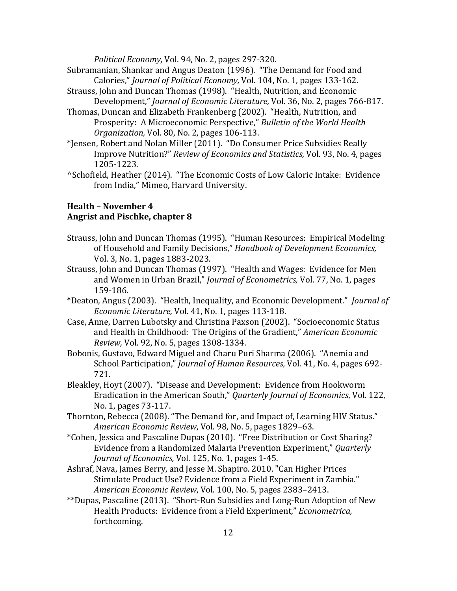*Political Economy,* Vol. 94, No. 2, pages 297-320.

- Subramanian, Shankar and Angus Deaton (1996). "The Demand for Food and Calories," *Journal of Political Economy*, Vol. 104, No. 1, pages 133-162.
- Strauss, John and Duncan Thomas (1998). "Health, Nutrition, and Economic Development," *Journal of Economic Literature*, Vol. 36, No. 2, pages 766-817.
- Thomas, Duncan and Elizabeth Frankenberg (2002). "Health, Nutrition, and Prosperity: A Microeconomic Perspective," Bulletin of the World Health *Organization,* Vol. 80, No. 2, pages 106-113.
- \*Jensen, Robert and Nolan Miller (2011). "Do Consumer Price Subsidies Really Improve Nutrition?" *Review of Economics and Statistics,* Vol. 93, No. 4, pages 1205-1223.
- ^Schofield, Heather (2014). "The Economic Costs of Low Caloric Intake: Evidence from India," Mimeo, Harvard University.

# **Health – November 4** Angrist and Pischke, chapter 8

- Strauss, John and Duncan Thomas (1995). "Human Resources: Empirical Modeling of Household and Family Decisions," Handbook of Development Economics, Vol. 3, No. 1, pages 1883-2023.
- Strauss, John and Duncan Thomas (1997). "Health and Wages: Evidence for Men and Women in Urban Brazil," *Journal of Econometrics*, Vol. 77, No. 1, pages 159-186.
- \*Deaton, Angus (2003). "Health, Inequality, and Economic Development." *Journal of Economic Literature,* Vol. 41, No. 1, pages 113-118.
- Case, Anne, Darren Lubotsky and Christina Paxson (2002). "Socioeconomic Status and Health in Childhood: The Origins of the Gradient," American Economic *Review, Vol.* 92, No. 5, pages 1308-1334.
- Bobonis, Gustavo, Edward Miguel and Charu Puri Sharma (2006). "Anemia and School Participation," *Journal of Human Resources*, Vol. 41, No. 4, pages 692-721.
- Bleakley, Hoyt (2007). "Disease and Development: Evidence from Hookworm Eradication in the American South," *Quarterly Journal of Economics*, Vol. 122, No. 1, pages 73-117.
- Thornton, Rebecca (2008). "The Demand for, and Impact of, Learning HIV Status." *American Economic Review*, Vol. 98, No. 5, pages 1829–63.
- \*Cohen, Jessica and Pascaline Dupas (2010). "Free Distribution or Cost Sharing? Evidence from a Randomized Malaria Prevention Experiment," *Quarterly Journal of Economics, Vol.* 125, No. 1, pages 1-45.
- Ashraf, Nava, James Berry, and Jesse M. Shapiro. 2010. "Can Higher Prices Stimulate Product Use? Evidence from a Field Experiment in Zambia." *American Economic Review*, Vol. 100, No. 5, pages 2383–2413.
- \*\*Dupas, Pascaline (2013). "Short-Run Subsidies and Long-Run Adoption of New Health Products: Evidence from a Field Experiment," *Econometrica*, forthcoming.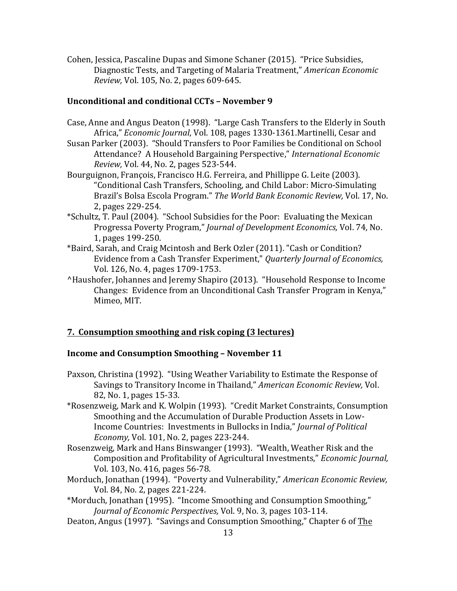Cohen, Jessica, Pascaline Dupas and Simone Schaner (2015). "Price Subsidies, Diagnostic Tests, and Targeting of Malaria Treatment," American Economic *Review, Vol.* 105, No. 2, pages 609-645.

#### **Unconditional and conditional CCTs – November 9**

- Case, Anne and Angus Deaton (1998). "Large Cash Transfers to the Elderly in South Africa," *Economic Journal*, Vol. 108, pages 1330-1361.Martinelli, Cesar and
- Susan Parker (2003). "Should Transfers to Poor Families be Conditional on School Attendance? A Household Bargaining Perspective," *International Economic Review, Vol.* 44, No. 2, pages 523-544.
- Bourguignon, François, Francisco H.G. Ferreira, and Phillippe G. Leite (2003). "Conditional Cash Transfers, Schooling, and Child Labor: Micro-Simulating Brazil's Bolsa Escola Program." The World Bank Economic Review, Vol. 17, No. 2, pages 229-254.
- \*Schultz, T. Paul (2004). "School Subsidies for the Poor: Evaluating the Mexican Progressa Poverty Program," *Journal of Development Economics, Vol. 74, No.* 1, pages 199-250.
- \*Baird, Sarah, and Craig Mcintosh and Berk Ozler (2011). "Cash or Condition? Evidence from a Cash Transfer Experiment," *Quarterly Journal of Economics*, Vol. 126, No. 4, pages 1709-1753.
- <sup>^</sup>Haushofer, Johannes and Jeremy Shapiro (2013). "Household Response to Income Changes: Evidence from an Unconditional Cash Transfer Program in Kenya," Mimeo, MIT.

# **7. Consumption smoothing and risk coping (3 lectures)**

# **Income and Consumption Smoothing - November 11**

- Paxson, Christina (1992). "Using Weather Variability to Estimate the Response of Savings to Transitory Income in Thailand," *American Economic Review*, Vol. 82, No. 1, pages 15-33.
- \*Rosenzweig, Mark and K. Wolpin (1993). "Credit Market Constraints, Consumption Smoothing and the Accumulation of Durable Production Assets in Low-Income Countries: Investments in Bullocks in India," *Journal of Political Economy, Vol.* 101, No. 2, pages 223-244.
- Rosenzweig, Mark and Hans Binswanger (1993). "Wealth, Weather Risk and the Composition and Profitability of Agricultural Investments," *Economic Journal*, Vol. 103, No. 416, pages 56-78.
- Morduch, Jonathan (1994). "Poverty and Vulnerability," American Economic Review, Vol. 84, No. 2, pages 221-224.
- \*Morduch, Jonathan (1995). "Income Smoothing and Consumption Smoothing," *Journal of Economic Perspectives, Vol.* 9, No. 3, pages 103-114.
- Deaton, Angus (1997). "Savings and Consumption Smoothing," Chapter 6 of The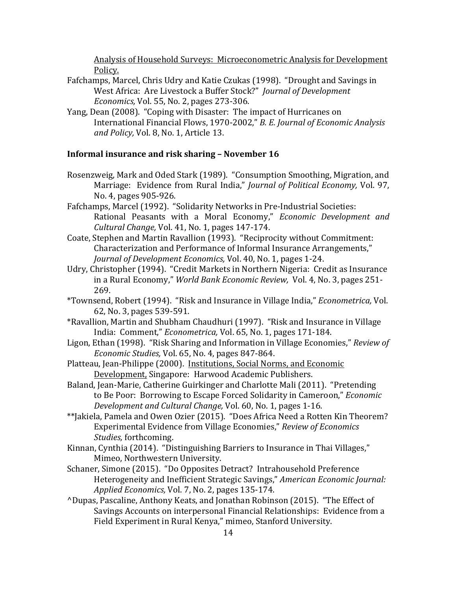Analysis of Household Surveys: Microeconometric Analysis for Development Policy.

- Fafchamps, Marcel, Chris Udry and Katie Czukas (1998). "Drought and Savings in West Africa: Are Livestock a Buffer Stock?" *Journal of Development Economics, Vol.* 55, No. 2, pages 273-306.
- Yang, Dean (2008). "Coping with Disaster: The impact of Hurricanes on International Financial Flows, 1970-2002," *B. E. Journal of Economic Analysis* and Policy, Vol. 8, No. 1, Article 13.

#### **Informal insurance and risk sharing - November 16**

- Rosenzweig, Mark and Oded Stark (1989). "Consumption Smoothing, Migration, and Marriage: Evidence from Rural India," *Journal of Political Economy*, Vol. 97, No. 4, pages 905-926.
- Fafchamps, Marcel (1992). "Solidarity Networks in Pre-Industrial Societies: Rational Peasants with a Moral Economy," *Economic Development and Cultural Change, Vol.* 41, No. 1, pages 147-174.
- Coate, Stephen and Martin Ravallion (1993). "Reciprocity without Commitment: Characterization and Performance of Informal Insurance Arrangements," *Journal of Development Economics, Vol.* 40, No. 1, pages 1-24.
- Udry, Christopher (1994). "Credit Markets in Northern Nigeria: Credit as Insurance in a Rural Economy," *World Bank Economic Review, Vol. 4, No. 3, pages 251-*269.
- \*Townsend, Robert (1994). "Risk and Insurance in Village India," *Econometrica,* Vol. 62, No. 3, pages 539-591.
- \*Ravallion, Martin and Shubham Chaudhuri (1997). "Risk and Insurance in Village India: Comment," *Econometrica*, Vol. 65, No. 1, pages 171-184.
- Ligon, Ethan (1998). "Risk Sharing and Information in Village Economies," *Review of Economic Studies, Vol.* 65, No. 4, pages 847-864.
- Platteau, Jean-Philippe (2000). Institutions, Social Norms, and Economic Development, Singapore: Harwood Academic Publishers.
- Baland, Jean-Marie, Catherine Guirkinger and Charlotte Mali (2011). "Pretending to Be Poor: Borrowing to Escape Forced Solidarity in Cameroon," *Economic Development and Cultural Change, Vol.* 60, No. 1, pages 1-16.
- \*\*Jakiela, Pamela and Owen Ozier (2015). "Does Africa Need a Rotten Kin Theorem? Experimental Evidence from Village Economies," Review of Economics *Studies,* forthcoming.
- Kinnan, Cynthia (2014). "Distinguishing Barriers to Insurance in Thai Villages," Mimeo, Northwestern University.
- Schaner, Simone (2015). "Do Opposites Detract? Intrahousehold Preference Heterogeneity and Inefficient Strategic Savings," American Economic Journal: Applied Economics, Vol. 7, No. 2, pages 135-174.
- ^Dupas, Pascaline, Anthony Keats, and Jonathan Robinson (2015). "The Effect of Savings Accounts on interpersonal Financial Relationships: Evidence from a Field Experiment in Rural Kenya," mimeo, Stanford University.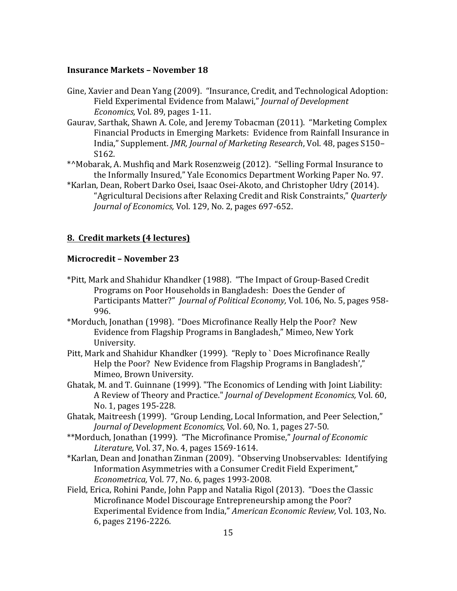#### **Insurance Markets - November 18**

- Gine, Xavier and Dean Yang (2009). "Insurance, Credit, and Technological Adoption: Field Experimental Evidence from Malawi," *Journal of Development Economics, Vol. 89, pages 1-11.*
- Gaurav, Sarthak, Shawn A. Cole, and Jeremy Tobacman (2011). "Marketing Complex Financial Products in Emerging Markets: Evidence from Rainfall Insurance in India," Supplement. *JMR, Journal of Marketing Research*, Vol. 48, pages S150– S162.
- \*^Mobarak, A. Mushfiq and Mark Rosenzweig (2012). "Selling Formal Insurance to the Informally Insured." Yale Economics Department Working Paper No. 97.
- \*Karlan, Dean, Robert Darko Osei, Isaac Osei-Akoto, and Christopher Udry (2014). "Agricultural Decisions after Relaxing Credit and Risk Constraints," *Quarterly Journal of Economics, Vol.* 129, No. 2, pages 697-652.

#### **8. Credit markets (4 lectures)**

### **Microcredit – November 23**

- \*Pitt, Mark and Shahidur Khandker (1988). "The Impact of Group-Based Credit Programs on Poor Households in Bangladesh: Does the Gender of Participants Matter?" *Journal of Political Economy*, Vol. 106, No. 5, pages 958-996.
- \*Morduch, Jonathan (1998). "Does Microfinance Really Help the Poor? New Evidence from Flagship Programs in Bangladesh," Mimeo, New York University.
- Pitt, Mark and Shahidur Khandker (1999). "Reply to ` Does Microfinance Really Help the Poor? New Evidence from Flagship Programs in Bangladesh'," Mimeo, Brown University.
- Ghatak, M. and T. Guinnane (1999). "The Economics of Lending with Joint Liability: A Review of Theory and Practice." *Journal of Development Economics*, Vol. 60, No. 1, pages 195-228.
- Ghatak, Maitreesh (1999). "Group Lending, Local Information, and Peer Selection," *Journal of Development Economics, Vol.* 60, No. 1, pages 27-50.
- \*\*Morduch, Jonathan (1999). "The Microfinance Promise," *Journal of Economic Literature,* Vol. 37, No. 4, pages 1569-1614.
- \*Karlan, Dean and Jonathan Zinman (2009). "Observing Unobservables: Identifying Information Asymmetries with a Consumer Credit Field Experiment," *Econometrica,* Vol. 77, No. 6, pages 1993-2008.
- Field, Erica, Rohini Pande, John Papp and Natalia Rigol (2013). "Does the Classic Microfinance Model Discourage Entrepreneurship among the Poor? Experimental Evidence from India," *American Economic Review*, Vol. 103, No. 6, pages 2196-2226.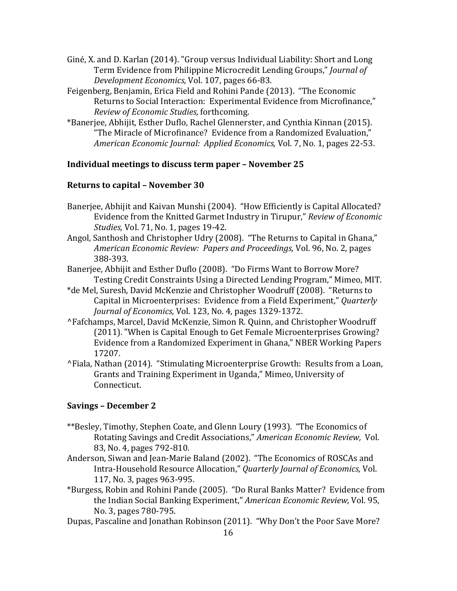- Giné, X. and D. Karlan (2014). "Group versus Individual Liability: Short and Long Term Evidence from Philippine Microcredit Lending Groups," Journal of *Development Economics,* Vol. 107, pages 66-83.
- Feigenberg, Benjamin, Erica Field and Rohini Pande (2013). "The Economic Returns to Social Interaction: Experimental Evidence from Microfinance," *Review of Economic Studies,* forthcoming.
- \*Baneriee, Abhijit, Esther Duflo, Rachel Glennerster, and Cynthia Kinnan (2015). "The Miracle of Microfinance? Evidence from a Randomized Evaluation," *American Economic Journal: Applied Economics, Vol. 7, No. 1, pages 22-53.*

# **Individual meetings to discuss term paper - November 25**

#### **Returns to capital – November 30**

- Banerjee, Abhijit and Kaivan Munshi (2004). "How Efficiently is Capital Allocated? Evidence from the Knitted Garmet Industry in Tirupur," *Review of Economic Studies, Vol.* 71, No. 1, pages 19-42.
- Angol, Santhosh and Christopher Udry (2008). "The Returns to Capital in Ghana," *American Economic Review: Papers and Proceedings,* Vol. 96, No. 2, pages 388-393.
- Banerjee, Abhijit and Esther Duflo (2008). "Do Firms Want to Borrow More? Testing Credit Constraints Using a Directed Lending Program," Mimeo, MIT.
- \*de Mel, Suresh, David McKenzie and Christopher Woodruff (2008). "Returns to Capital in Microenterprises: Evidence from a Field Experiment," *Quarterly Journal of Economics, Vol. 123, No. 4, pages 1329-1372.*
- ^Fafchamps, Marcel, David McKenzie, Simon R. Quinn, and Christopher Woodruff (2011). "When is Capital Enough to Get Female Microenterprises Growing? Evidence from a Randomized Experiment in Ghana," NBER Working Papers 17207.
- ^Fiala, Nathan (2014). "Stimulating Microenterprise Growth: Results from a Loan, Grants and Training Experiment in Uganda," Mimeo, University of Connecticut.

#### **Savings – December 2**

- \*\*Besley, Timothy, Stephen Coate, and Glenn Loury (1993). "The Economics of Rotating Savings and Credit Associations," American Economic Review, Vol. 83, No. 4, pages 792-810.
- Anderson, Siwan and Jean-Marie Baland (2002). "The Economics of ROSCAs and Intra-Household Resource Allocation," Quarterly Journal of Economics, Vol. 117, No. 3, pages 963-995.
- \*Burgess, Robin and Rohini Pande (2005). "Do Rural Banks Matter? Evidence from the Indian Social Banking Experiment," American Economic Review, Vol. 95, No. 3, pages 780-795.
- Dupas, Pascaline and Jonathan Robinson (2011). "Why Don't the Poor Save More?